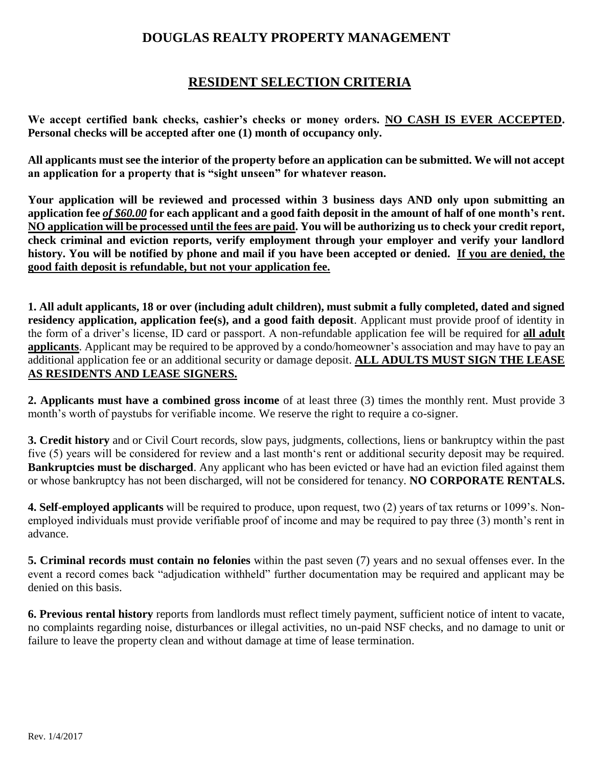## **DOUGLAS REALTY PROPERTY MANAGEMENT**

# **RESIDENT SELECTION CRITERIA**

**We accept certified bank checks, cashier's checks or money orders. NO CASH IS EVER ACCEPTED. Personal checks will be accepted after one (1) month of occupancy only.** 

**All applicants must see the interior of the property before an application can be submitted. We will not accept an application for a property that is "sight unseen" for whatever reason.** 

**Your application will be reviewed and processed within 3 business days AND only upon submitting an application fee** *of \$60.00* **for each applicant and a good faith deposit in the amount of half of one month's rent. NO application will be processed until the fees are paid. You will be authorizing us to check your credit report, check criminal and eviction reports, verify employment through your employer and verify your landlord history. You will be notified by phone and mail if you have been accepted or denied. If you are denied, the good faith deposit is refundable, but not your application fee.**

**1. All adult applicants, 18 or over (including adult children), must submit a fully completed, dated and signed residency application, application fee(s), and a good faith deposit**. Applicant must provide proof of identity in the form of a driver's license, ID card or passport. A non-refundable application fee will be required for **all adult applicants**. Applicant may be required to be approved by a condo/homeowner's association and may have to pay an additional application fee or an additional security or damage deposit. **ALL ADULTS MUST SIGN THE LEASE AS RESIDENTS AND LEASE SIGNERS.**

**2. Applicants must have a combined gross income** of at least three (3) times the monthly rent. Must provide 3 month's worth of paystubs for verifiable income. We reserve the right to require a co-signer.

**3. Credit history** and or Civil Court records, slow pays, judgments, collections, liens or bankruptcy within the past five (5) years will be considered for review and a last month's rent or additional security deposit may be required. **Bankruptcies must be discharged**. Any applicant who has been evicted or have had an eviction filed against them or whose bankruptcy has not been discharged, will not be considered for tenancy. **NO CORPORATE RENTALS.**

**4. Self-employed applicants** will be required to produce, upon request, two (2) years of tax returns or 1099's. Nonemployed individuals must provide verifiable proof of income and may be required to pay three (3) month's rent in advance.

**5. Criminal records must contain no felonies** within the past seven (7) years and no sexual offenses ever. In the event a record comes back "adjudication withheld" further documentation may be required and applicant may be denied on this basis.

**6. Previous rental history** reports from landlords must reflect timely payment, sufficient notice of intent to vacate, no complaints regarding noise, disturbances or illegal activities, no un-paid NSF checks, and no damage to unit or failure to leave the property clean and without damage at time of lease termination.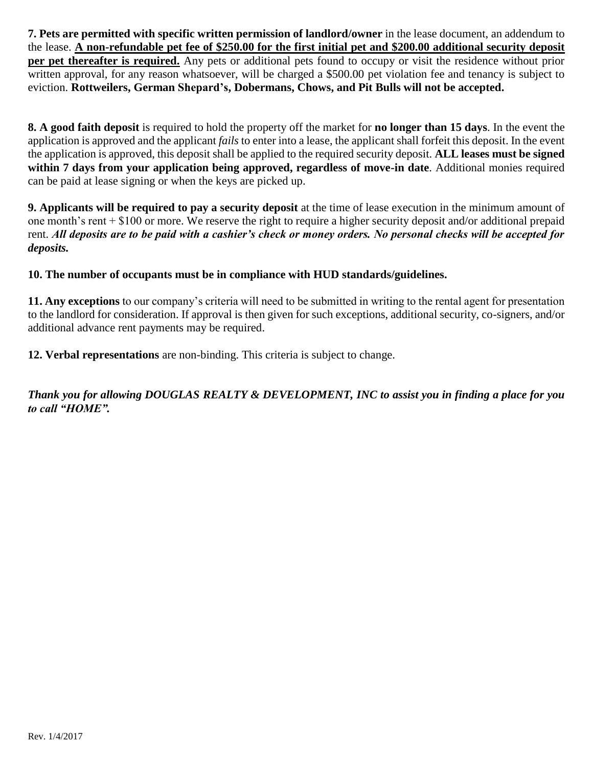**7. Pets are permitted with specific written permission of landlord/owner** in the lease document, an addendum to the lease. **A non-refundable pet fee of \$250.00 for the first initial pet and \$200.00 additional security deposit per pet thereafter is required.** Any pets or additional pets found to occupy or visit the residence without prior written approval, for any reason whatsoever, will be charged a \$500.00 pet violation fee and tenancy is subject to eviction. **Rottweilers, German Shepard's, Dobermans, Chows, and Pit Bulls will not be accepted.**

**8. A good faith deposit** is required to hold the property off the market for **no longer than 15 days**. In the event the application is approved and the applicant *fails* to enter into a lease, the applicant shall forfeit this deposit. In the event the application is approved, this deposit shall be applied to the required security deposit. **ALL leases must be signed within 7 days from your application being approved, regardless of move-in date**. Additional monies required can be paid at lease signing or when the keys are picked up.

**9. Applicants will be required to pay a security deposit** at the time of lease execution in the minimum amount of one month's rent + \$100 or more. We reserve the right to require a higher security deposit and/or additional prepaid rent. *All deposits are to be paid with a cashier's check or money orders. No personal checks will be accepted for deposits.* 

### **10. The number of occupants must be in compliance with HUD standards/guidelines.**

**11. Any exceptions** to our company's criteria will need to be submitted in writing to the rental agent for presentation to the landlord for consideration. If approval is then given for such exceptions, additional security, co-signers, and/or additional advance rent payments may be required.

**12. Verbal representations** are non-binding. This criteria is subject to change.

*Thank you for allowing DOUGLAS REALTY & DEVELOPMENT, INC to assist you in finding a place for you to call "HOME".*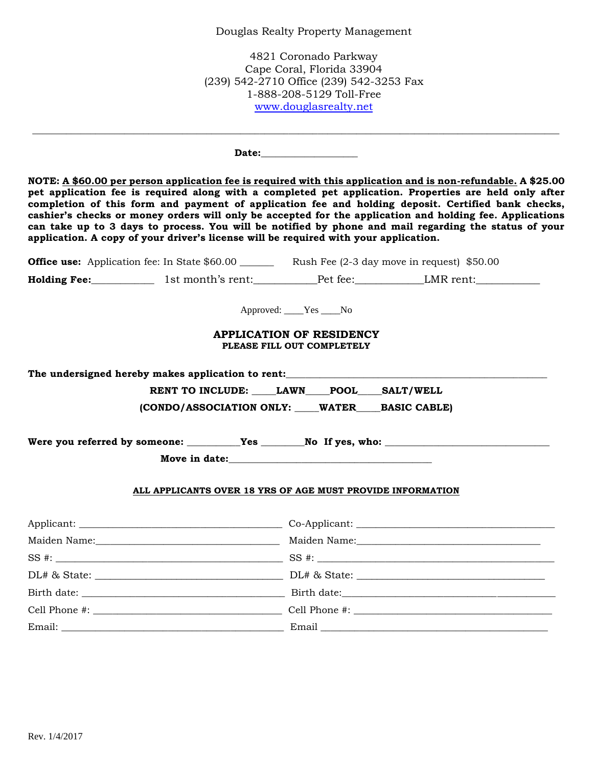#### Douglas Realty Property Management

4821 Coronado Parkway Cape Coral, Florida 33904 (239) 542-2710 Office (239) 542-3253 Fax 1-888-208-5129 Toll-Free [www.douglasrealty.net](http://www.douglasrealty.net/)

**Date:\_\_\_\_\_\_\_\_\_\_\_\_\_\_\_\_\_\_\_\_** 

**NOTE: A \$60.00 per person application fee is required with this application and is non-refundable. A \$25.00 pet application fee is required along with a completed pet application. Properties are held only after completion of this form and payment of application fee and holding deposit. Certified bank checks, cashier's checks or money orders will only be accepted for the application and holding fee. Applications can take up to 3 days to process. You will be notified by phone and mail regarding the status of your application. A copy of your driver's license will be required with your application.**

 $\_$  ,  $\_$  ,  $\_$  ,  $\_$  ,  $\_$  ,  $\_$  ,  $\_$  ,  $\_$  ,  $\_$  ,  $\_$  ,  $\_$  ,  $\_$  ,  $\_$  ,  $\_$  ,  $\_$  ,  $\_$  ,  $\_$  ,  $\_$  ,  $\_$  ,  $\_$  ,  $\_$  ,  $\_$  ,  $\_$  ,  $\_$  ,  $\_$  ,  $\_$  ,  $\_$  ,  $\_$  ,  $\_$  ,  $\_$  ,  $\_$  ,  $\_$  ,  $\_$  ,  $\_$  ,  $\_$  ,  $\_$  ,  $\_$  ,

**Office use:** Application fee: In State \$60.00 Rush Fee (2-3 day move in request) \$50.00

**Holding Fee:\_\_\_\_\_\_\_\_\_\_\_\_\_\_\_** 1st month's rent:\_\_\_\_\_\_\_\_\_\_\_\_Pet fee:\_\_\_\_\_\_\_\_\_\_\_\_\_\_LMR rent:\_\_\_\_\_\_\_\_\_\_\_\_\_\_\_\_\_\_\_\_\_\_

Approved: \_\_\_\_Yes \_\_\_\_No

#### **APPLICATION OF RESIDENCY PLEASE FILL OUT COMPLETELY**

The undersigned hereby makes application to rent:

RENT TO INCLUDE: LAWN POOL SALT/WELL

**(CONDO/ASSOCIATION ONLY: \_\_\_\_\_WATER\_\_\_\_\_BASIC CABLE)**

Were you referred by someone: \_\_\_\_\_\_\_\_\_Yes \_\_\_\_\_\_\_No If yes, who: \_\_\_\_\_\_\_\_\_\_\_\_\_\_\_

**Move in date:** 

#### **ALL APPLICANTS OVER 18 YRS OF AGE MUST PROVIDE INFORMATION**

| Applicant: |       |
|------------|-------|
|            |       |
|            | SS #: |
|            |       |
|            |       |
|            |       |
|            |       |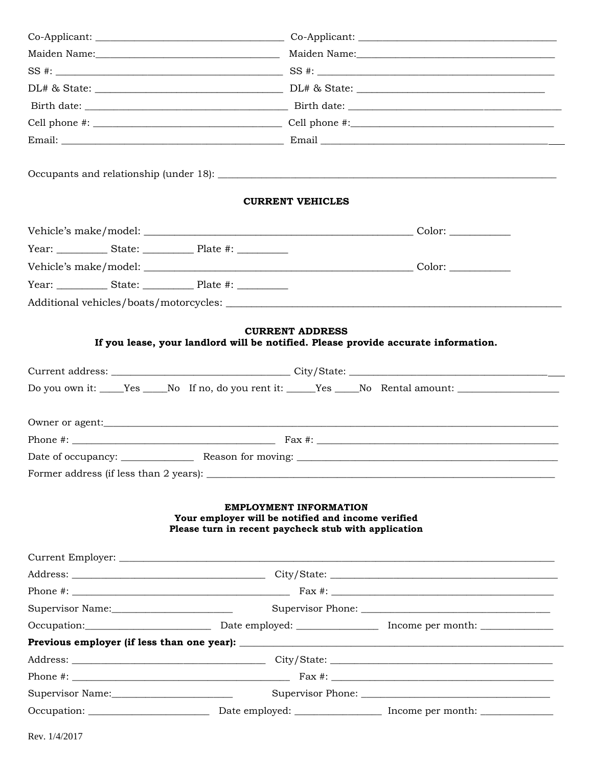|  |  |  |                                                                                                                                             |                                                                                                                        |  |  |  | <b>CURRENT VEHICLES</b> |  |
|--|--|--|---------------------------------------------------------------------------------------------------------------------------------------------|------------------------------------------------------------------------------------------------------------------------|--|--|--|-------------------------|--|
|  |  |  |                                                                                                                                             |                                                                                                                        |  |  |  |                         |  |
|  |  |  |                                                                                                                                             |                                                                                                                        |  |  |  |                         |  |
|  |  |  |                                                                                                                                             |                                                                                                                        |  |  |  |                         |  |
|  |  |  |                                                                                                                                             |                                                                                                                        |  |  |  |                         |  |
|  |  |  |                                                                                                                                             |                                                                                                                        |  |  |  |                         |  |
|  |  |  |                                                                                                                                             | Do you own it: ____Yes ____No If no, do you rent it: ____Yes ___No Rental amount: _________________<br>Owner or agent: |  |  |  |                         |  |
|  |  |  |                                                                                                                                             |                                                                                                                        |  |  |  |                         |  |
|  |  |  |                                                                                                                                             |                                                                                                                        |  |  |  |                         |  |
|  |  |  | <b>EMPLOYMENT INFORMATION</b><br>Your employer will be notified and income verified<br>Please turn in recent paycheck stub with application |                                                                                                                        |  |  |  |                         |  |
|  |  |  |                                                                                                                                             |                                                                                                                        |  |  |  |                         |  |
|  |  |  |                                                                                                                                             |                                                                                                                        |  |  |  |                         |  |
|  |  |  |                                                                                                                                             |                                                                                                                        |  |  |  |                         |  |
|  |  |  |                                                                                                                                             |                                                                                                                        |  |  |  |                         |  |
|  |  |  |                                                                                                                                             |                                                                                                                        |  |  |  |                         |  |
|  |  |  |                                                                                                                                             |                                                                                                                        |  |  |  |                         |  |
|  |  |  |                                                                                                                                             |                                                                                                                        |  |  |  |                         |  |
|  |  |  |                                                                                                                                             |                                                                                                                        |  |  |  |                         |  |
|  |  |  |                                                                                                                                             |                                                                                                                        |  |  |  |                         |  |
|  |  |  |                                                                                                                                             |                                                                                                                        |  |  |  |                         |  |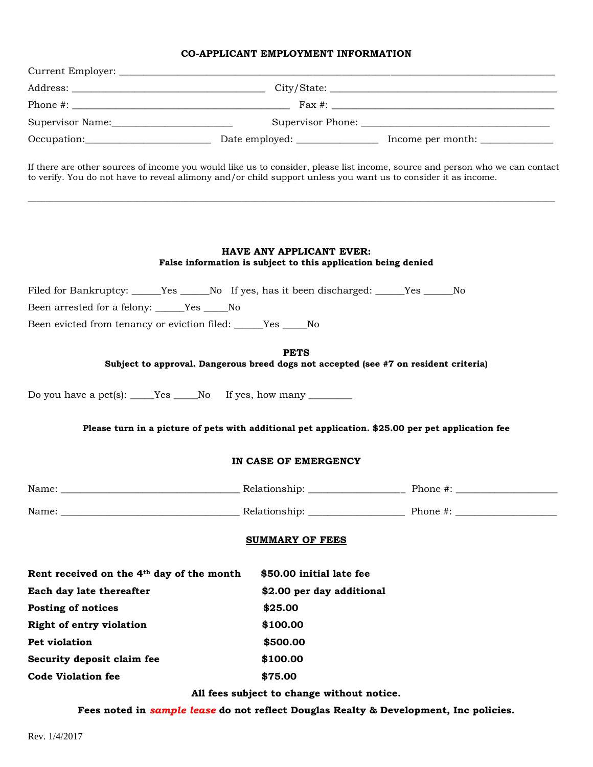### **CO-APPLICANT EMPLOYMENT INFORMATION**

| If there are other sources of income you would like us to consider, please list income, source and person who we can contact<br>to verify. You do not have to reveal alimony and/or child support unless you want us to consider it as income. |                                                                                                  |  |  |  |  |
|------------------------------------------------------------------------------------------------------------------------------------------------------------------------------------------------------------------------------------------------|--------------------------------------------------------------------------------------------------|--|--|--|--|
|                                                                                                                                                                                                                                                | <b>HAVE ANY APPLICANT EVER:</b><br>False information is subject to this application being denied |  |  |  |  |
| Filed for Bankruptcy: ______Yes ______No If yes, has it been discharged: _____Yes _____No                                                                                                                                                      |                                                                                                  |  |  |  |  |
| Been arrested for a felony: _____Yes _____No                                                                                                                                                                                                   |                                                                                                  |  |  |  |  |
| Been evicted from tenancy or eviction filed: _____Yes ____No                                                                                                                                                                                   |                                                                                                  |  |  |  |  |
|                                                                                                                                                                                                                                                | <b>PETS</b>                                                                                      |  |  |  |  |
| Subject to approval. Dangerous breed dogs not accepted (see #7 on resident criteria)                                                                                                                                                           |                                                                                                  |  |  |  |  |
| Do you have a pet(s): $\_\_\_\$ Yes $\_\_\$ No If yes, how many $\_\_\_\_\_\_\_\$<br>Please turn in a picture of pets with additional pet application. \$25.00 per pet application fee                                                         |                                                                                                  |  |  |  |  |
|                                                                                                                                                                                                                                                | IN CASE OF EMERGENCY                                                                             |  |  |  |  |
|                                                                                                                                                                                                                                                |                                                                                                  |  |  |  |  |
|                                                                                                                                                                                                                                                |                                                                                                  |  |  |  |  |
|                                                                                                                                                                                                                                                | <b>SUMMARY OF FEES</b>                                                                           |  |  |  |  |
| Rent received on the 4th day of the month                                                                                                                                                                                                      | \$50.00 initial late fee                                                                         |  |  |  |  |
| Each day late thereafter                                                                                                                                                                                                                       | \$2.00 per day additional                                                                        |  |  |  |  |
| Posting of notices                                                                                                                                                                                                                             | \$25.00                                                                                          |  |  |  |  |
| <b>Right of entry violation</b>                                                                                                                                                                                                                | \$100.00                                                                                         |  |  |  |  |
| Pet violation                                                                                                                                                                                                                                  | \$500.00                                                                                         |  |  |  |  |
| Security deposit claim fee                                                                                                                                                                                                                     | \$100.00                                                                                         |  |  |  |  |
| <b>Code Violation fee</b>                                                                                                                                                                                                                      | \$75.00                                                                                          |  |  |  |  |
|                                                                                                                                                                                                                                                |                                                                                                  |  |  |  |  |

**Fees noted in** *sample lease* **do not reflect Douglas Realty & Development, Inc policies.**